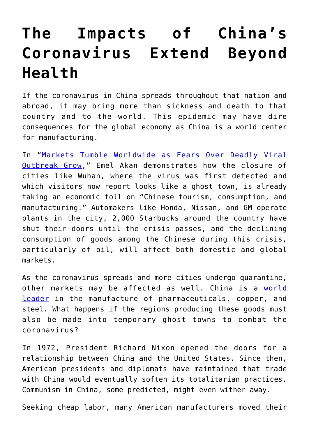## **[The Impacts of China's](https://intellectualtakeout.org/2020/02/the-impacts-of-chinas-coronavirus-extend-beyond-health/) [Coronavirus Extend Beyond](https://intellectualtakeout.org/2020/02/the-impacts-of-chinas-coronavirus-extend-beyond-health/) [Health](https://intellectualtakeout.org/2020/02/the-impacts-of-chinas-coronavirus-extend-beyond-health/)**

If the coronavirus in China spreads throughout that nation and abroad, it may bring more than sickness and death to that country and to the world. This epidemic may have dire consequences for the global economy as China is a world center for manufacturing.

In "[Markets Tumble Worldwide as Fears Over Deadly Viral](https://www.theepochtimes.com/markets-tumble-worldwide-as-fears-over-deadly-viral-outbreak-grow_3220906.html) [Outbreak Grow,](https://www.theepochtimes.com/markets-tumble-worldwide-as-fears-over-deadly-viral-outbreak-grow_3220906.html)" Emel Akan demonstrates how the closure of cities like Wuhan, where the virus was first detected and which visitors now report looks like a ghost town, is already taking an economic toll on "Chinese tourism, consumption, and manufacturing." Automakers like Honda, Nissan, and GM operate plants in the city, 2,000 Starbucks around the country have shut their doors until the crisis passes, and the declining consumption of goods among the Chinese during this crisis, particularly of oil, will affect both domestic and global markets.

As the coronavirus spreads and more cities undergo quarantine, other markets may be affected as well. China is a [world](https://www.americanmanufacturing.org/blog/entry/china-is-quickly-becoming-the-worlds-pharmacy-and-that-comes-with-great-ris) [leader](https://www.americanmanufacturing.org/blog/entry/china-is-quickly-becoming-the-worlds-pharmacy-and-that-comes-with-great-ris) in the manufacture of pharmaceuticals, copper, and steel. What happens if the regions producing these goods must also be made into temporary ghost towns to combat the coronavirus?

In 1972, President Richard Nixon opened the doors for a relationship between China and the United States. Since then, American presidents and diplomats have maintained that trade with China would eventually soften its totalitarian practices. Communism in China, some predicted, might even wither away.

Seeking cheap labor, many American manufacturers moved their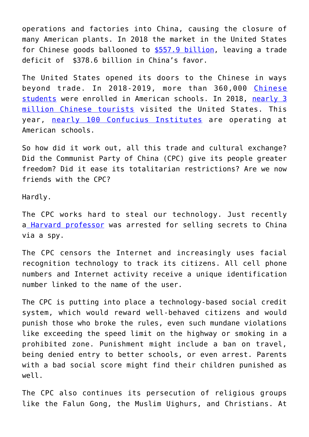operations and factories into China, causing the closure of many American plants. In 2018 the market in the United States for Chinese goods ballooned to [\\$557.9 billion,](https://ustr.gov/countries-regions/china-mongolia-taiwan/peoples-republic-china) leaving a trade deficit of \$378.6 billion in China's favor.

The United States opened its doors to the Chinese in ways beyond trade. In 2018-2019, more than 360,000 [Chinese](https://www.statista.com/statistics/372900/number-of-chinese-students-that-study-in-the-us/) [students](https://www.statista.com/statistics/372900/number-of-chinese-students-that-study-in-the-us/) were enrolled in American schools. In 2018, [nearly 3](https://www.statista.com/statistics/214813/number-of-visitors-to-the-us-from-china/) [million Chinese tourists](https://www.statista.com/statistics/214813/number-of-visitors-to-the-us-from-china/) visited the United States. This year, [nearly 100 Confucius Institutes](https://www.gao.gov/products/GAO-19-401T) are operating at American schools.

So how did it work out, all this trade and cultural exchange? Did the Communist Party of China (CPC) give its people greater freedom? Did it ease its totalitarian restrictions? Are we now friends with the CPC?

Hardly.

The CPC works hard to steal our technology. Just recently a [Harvard professor](https://www.washingtontimes.com/news/2020/feb/1/spy-school-chinese-military-officer-busted-posing-/) was arrested for selling secrets to China via a spy.

The CPC censors the Internet and increasingly uses facial recognition technology to track its citizens. All cell phone numbers and Internet activity receive a unique identification number linked to the name of the user.

The CPC is putting into place a technology-based social credit system, which would reward well-behaved citizens and would punish those who broke the rules, even such mundane violations like exceeding the speed limit on the highway or smoking in a prohibited zone. Punishment might include a ban on travel, being denied entry to better schools, or even arrest. Parents with a bad social score might find their children punished as well.

The CPC also continues its persecution of religious groups like the Falun Gong, the Muslim Uighurs, and Christians. At